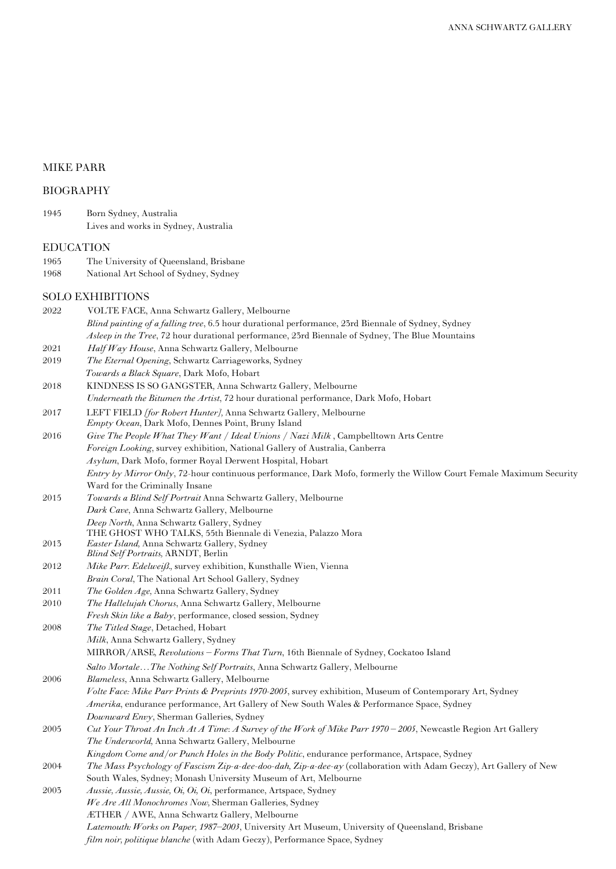# MIKE PARR

## BIOGRAPHY

| 1945 | Born Sydney, Australia               |
|------|--------------------------------------|
|      | Lives and works in Sydney, Australia |

### EDUCATION

- 1965 The University of Queensland, Brisbane<br>1968 National Art School of Sydney, Sydney
- National Art School of Sydney, Sydney

### SOLO EXHIBITIONS

| 2022 | VOLTE FACE, Anna Schwartz Gallery, Melbourne                                                                                                                                                                    |
|------|-----------------------------------------------------------------------------------------------------------------------------------------------------------------------------------------------------------------|
|      | Blind painting of a falling tree, 6.5 hour durational performance, 23rd Biennale of Sydney, Sydney                                                                                                              |
|      | Asleep in the Tree, 72 hour durational performance, 23rd Biennale of Sydney, The Blue Mountains                                                                                                                 |
| 2021 | Half Way House, Anna Schwartz Gallery, Melbourne                                                                                                                                                                |
| 2019 | <i>The Eternal Opening</i> , Schwartz Carriageworks, Sydney                                                                                                                                                     |
|      | Towards a Black Square, Dark Mofo, Hobart                                                                                                                                                                       |
| 2018 | KINDNESS IS SO GANGSTER, Anna Schwartz Gallery, Melbourne                                                                                                                                                       |
|      | <i>Underneath the Bitumen the Artist, 72 hour durational performance, Dark Mofo, Hobart</i>                                                                                                                     |
| 2017 | LEFT FIELD <i>[for Robert Hunter]</i> , Anna Schwartz Gallery, Melbourne                                                                                                                                        |
|      | <i>Empty Ocean</i> , Dark Mofo, Dennes Point, Bruny Island                                                                                                                                                      |
| 2016 | Give The People What They Want / Ideal Unions / Nazi Milk, Campbelltown Arts Centre                                                                                                                             |
|      | <i>Foreign Looking</i> , survey exhibition, National Gallery of Australia, Canberra                                                                                                                             |
|      | Asylum, Dark Mofo, former Royal Derwent Hospital, Hobart                                                                                                                                                        |
|      | <i>Entry by Mirror Only</i> , 72-hour continuous performance, Dark Mofo, formerly the Willow Court Female Maximum Security                                                                                      |
|      | Ward for the Criminally Insane                                                                                                                                                                                  |
| 2015 | Towards a Blind Self Portrait Anna Schwartz Gallery, Melbourne                                                                                                                                                  |
|      | Dark Cave, Anna Schwartz Gallery, Melbourne                                                                                                                                                                     |
|      | Deep North, Anna Schwartz Gallery, Sydney                                                                                                                                                                       |
|      | THE GHOST WHO TALKS, 55th Biennale di Venezia, Palazzo Mora                                                                                                                                                     |
| 2013 | <i>Easter Island</i> , Anna Schwartz Gallery, Sydney                                                                                                                                                            |
| 2012 | <i>Blind Self Portraits, ARNDT, Berlin</i>                                                                                                                                                                      |
|      | Mike Parr. Edelweiß., survey exhibition, Kunsthalle Wien, Vienna                                                                                                                                                |
| 2011 | Brain Coral, The National Art School Gallery, Sydney                                                                                                                                                            |
| 2010 | The Golden Age, Anna Schwartz Gallery, Sydney<br><i>The Hallelujah Chorus</i> , Anna Schwartz Gallery, Melbourne                                                                                                |
|      | <i>Fresh Skin like a Baby</i> , performance, closed session, Sydney                                                                                                                                             |
| 2008 | The Titled Stage, Detached, Hobart                                                                                                                                                                              |
|      | Milk, Anna Schwartz Gallery, Sydney                                                                                                                                                                             |
|      | MIRROR/ARSE, Revolutions – Forms That Turn, 16th Biennale of Sydney, Cockatoo Island                                                                                                                            |
|      |                                                                                                                                                                                                                 |
| 2006 | Salto MortaleThe Nothing Self Portraits, Anna Schwartz Gallery, Melbourne                                                                                                                                       |
|      | Blameless, Anna Schwartz Gallery, Melbourne                                                                                                                                                                     |
|      | Volte Face: Mike Parr Prints & Preprints 1970-2005, survey exhibition, Museum of Contemporary Art, Sydney<br><i>Amerika</i> , endurance performance, Art Gallery of New South Wales & Performance Space, Sydney |
|      |                                                                                                                                                                                                                 |
| 2005 | Downward Envy, Sherman Galleries, Sydney<br>Cut Your Throat An Inch At A Time: A Survey of the Work of Mike Parr 1970 - 2005, Newcastle Region Art Gallery                                                      |
|      |                                                                                                                                                                                                                 |
|      | The Underworld, Anna Schwartz Gallery, Melbourne<br>Kingdom Come and/or Punch Holes in the Body Politic, endurance performance, Artspace, Sydney                                                                |
| 2004 |                                                                                                                                                                                                                 |
|      | The Mass Psychology of Fascism Zip-a-dee-doo-dah, Zip-a-dee-ay (collaboration with Adam Geczy), Art Gallery of New<br>South Wales, Sydney; Monash University Museum of Art, Melbourne                           |
| 2003 | Aussie, Aussie, Aussie, Oi, Oi, Oi, performance, Artspace, Sydney                                                                                                                                               |
|      | We Are All Monochromes Now, Sherman Galleries, Sydney                                                                                                                                                           |
|      | ÆTHER / AWE, Anna Schwartz Gallery, Melbourne                                                                                                                                                                   |
|      | <i>Latemouth: Works on Paper, 1987–2003,</i> University Art Museum, University of Queensland, Brisbane                                                                                                          |
|      | <i>film noir, politique blanche</i> (with Adam Geczy), Performance Space, Sydney                                                                                                                                |
|      |                                                                                                                                                                                                                 |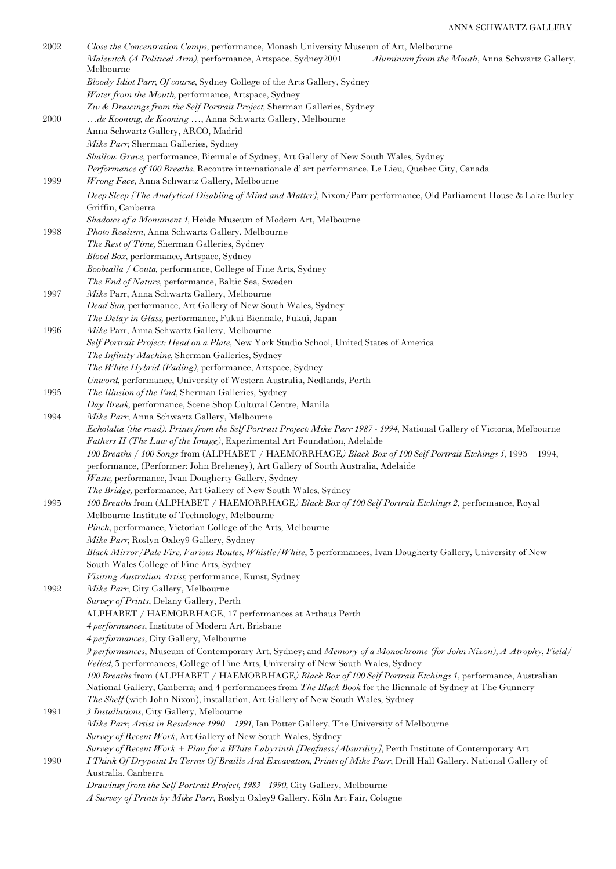| 2002        | Close the Concentration Camps, performance, Monash University Museum of Art, Melbourne<br>Malevitch (A Political Arm), performance, Artspace, Sydney2001<br>Aluminum from the Mouth, Anna Schwartz Gallery,<br>Melbourne                      |
|-------------|-----------------------------------------------------------------------------------------------------------------------------------------------------------------------------------------------------------------------------------------------|
|             | Bloody Idiot Parr, Of course, Sydney College of the Arts Gallery, Sydney<br>Water from the Mouth, performance, Artspace, Sydney                                                                                                               |
| <b>2000</b> | Ziv & Drawings from the Self Portrait Project, Sherman Galleries, Sydney<br>de Kooning, de Kooning , Anna Schwartz Gallery, Melbourne<br>Anna Schwartz Gallery, ARCO, Madrid                                                                  |
|             | Mike Parr, Sherman Galleries, Sydney                                                                                                                                                                                                          |
| 1999        | Shallow Grave, performance, Biennale of Sydney, Art Gallery of New South Wales, Sydney<br>Performance of 100 Breaths, Recontre internationale d'art performance, Le Lieu, Quebec City, Canada<br>Wrong Face, Anna Schwartz Gallery, Melbourne |
|             | Deep Sleep [The Analytical Disabling of Mind and Matter], Nixon/Parr performance, Old Parliament House & Lake Burley<br>Griffin, Canberra                                                                                                     |
|             | Shadows of a Monument 1, Heide Museum of Modern Art, Melbourne                                                                                                                                                                                |
| 1998        | Photo Realism, Anna Schwartz Gallery, Melbourne                                                                                                                                                                                               |
|             | The Rest of Time, Sherman Galleries, Sydney                                                                                                                                                                                                   |
|             | Blood Box, performance, Artspace, Sydney                                                                                                                                                                                                      |
|             | Boobialla / Couta, performance, College of Fine Arts, Sydney<br>The End of Nature, performance, Baltic Sea, Sweden                                                                                                                            |
| 1997        | Mike Parr, Anna Schwartz Gallery, Melbourne                                                                                                                                                                                                   |
|             | Dead Sun, performance, Art Gallery of New South Wales, Sydney                                                                                                                                                                                 |
|             | The Delay in Glass, performance, Fukui Biennale, Fukui, Japan                                                                                                                                                                                 |
| 1996        | Mike Parr, Anna Schwartz Gallery, Melbourne                                                                                                                                                                                                   |
|             | Self Portrait Project: Head on a Plate, New York Studio School, United States of America                                                                                                                                                      |
|             | The Infinity Machine, Sherman Galleries, Sydney                                                                                                                                                                                               |
|             | The White Hybrid (Fading), performance, Artspace, Sydney                                                                                                                                                                                      |
| 1995        | Unword, performance, University of Western Australia, Nedlands, Perth<br>The Illusion of the End, Sherman Galleries, Sydney                                                                                                                   |
|             | Day Break, performance, Scene Shop Cultural Centre, Manila                                                                                                                                                                                    |
| 1994        | Mike Parr, Anna Schwartz Gallery, Melbourne                                                                                                                                                                                                   |
|             | Echolalia (the road): Prints from the Self Portrait Project: Mike Parr 1987 - 1994, National Gallery of Victoria, Melbourne                                                                                                                   |
|             | Fathers II (The Law of the Image), Experimental Art Foundation, Adelaide                                                                                                                                                                      |
|             | 100 Breaths / 100 Songs from (ALPHABET / HAEMORRHAGE) Black Box of 100 Self Portrait Etchings 5, 1993 - 1994,                                                                                                                                 |
|             | performance, (Performer: John Breheney), Art Gallery of South Australia, Adelaide                                                                                                                                                             |
|             | Waste, performance, Ivan Dougherty Gallery, Sydney<br>The Bridge, performance, Art Gallery of New South Wales, Sydney                                                                                                                         |
| 1993        | 100 Breaths from (ALPHABET / HAEMORRHAGE) Black Box of 100 Self Portrait Etchings 2, performance, Royal                                                                                                                                       |
|             | Melbourne Institute of Technology, Melbourne<br>Pinch, performance, Victorian College of the Arts, Melbourne                                                                                                                                  |
|             | Mike Parr, Roslyn Oxley9 Gallery, Sydney                                                                                                                                                                                                      |
|             | Black Mirror/Pale Fire, Various Routes, Whistle/White, 3 performances, Ivan Dougherty Gallery, University of New<br>South Wales College of Fine Arts, Sydney                                                                                  |
|             | Visiting Australian Artist, performance, Kunst, Sydney                                                                                                                                                                                        |
| 1992        | Mike Parr, City Gallery, Melbourne                                                                                                                                                                                                            |
|             | Survey of Prints, Delany Gallery, Perth                                                                                                                                                                                                       |
|             | ALPHABET / HAEMORRHAGE, 17 performances at Arthaus Perth                                                                                                                                                                                      |
|             | 4 performances, Institute of Modern Art, Brisbane                                                                                                                                                                                             |
|             | 4 performances, City Gallery, Melbourne<br>9 performances, Museum of Contemporary Art, Sydney; and Memory of a Monochrome (for John Nixon), A-Atrophy, Field/                                                                                 |
|             | Felled, 3 performances, College of Fine Arts, University of New South Wales, Sydney<br>100 Breaths from (ALPHABET / HAEMORRHAGE) Black Box of 100 Self Portrait Etchings 1, performance, Australian                                           |
|             | National Gallery, Canberra; and 4 performances from The Black Book for the Biennale of Sydney at The Gunnery                                                                                                                                  |
| 1991        | The Shelf (with John Nixon), installation, Art Gallery of New South Wales, Sydney<br>3 Installations, City Gallery, Melbourne                                                                                                                 |
|             | Mike Parr, Artist in Residence 1990 - 1991, Ian Potter Gallery, The University of Melbourne                                                                                                                                                   |
|             | Survey of Recent Work, Art Gallery of New South Wales, Sydney                                                                                                                                                                                 |
|             | Survey of Recent Work + Plan for a White Labyrinth [Deafness/Absurdity], Perth Institute of Contemporary Art                                                                                                                                  |
| 1990        | I Think Of Drypoint In Terms Of Braille And Excavation, Prints of Mike Parr, Drill Hall Gallery, National Gallery of<br>Australia, Canberra                                                                                                   |
|             | Drawings from the Self Portrait Project, 1983 - 1990, City Gallery, Melbourne                                                                                                                                                                 |
|             | A Survey of Prints by Mike Parr, Roslyn Oxley9 Gallery, Köln Art Fair, Cologne                                                                                                                                                                |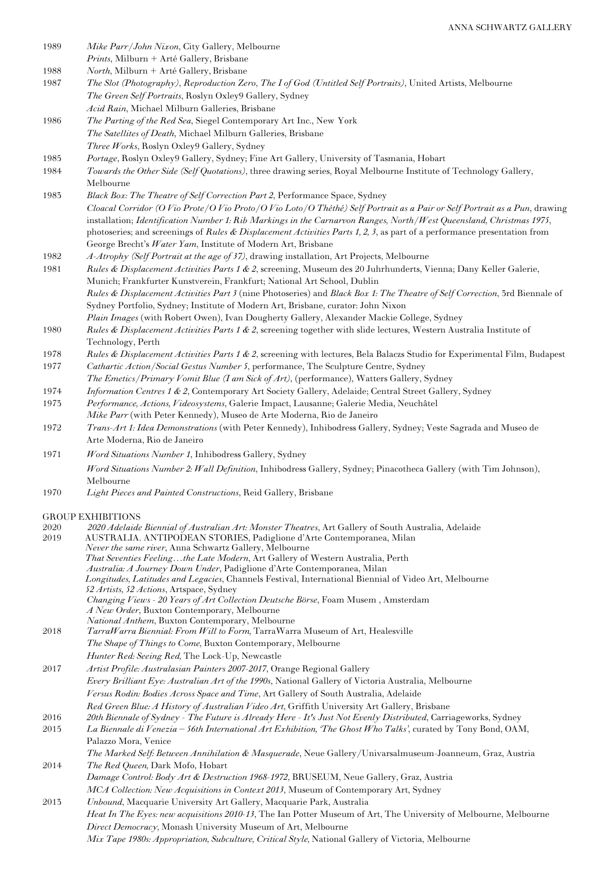| 1989 | Mike Parr/John Nixon, City Gallery, Melbourne                                                                                                                                    |
|------|----------------------------------------------------------------------------------------------------------------------------------------------------------------------------------|
|      | Prints, Milburn + Arté Gallery, Brisbane                                                                                                                                         |
| 1988 | North, Milburn + Arté Gallery, Brisbane                                                                                                                                          |
| 1987 | The Slot (Photography), Reproduction Zero, The I of God (Untitled Self Portraits), United Artists, Melbourne                                                                     |
|      | The Green Self Portraits, Roslyn Oxley9 Gallery, Sydney                                                                                                                          |
|      | Acid Rain, Michael Milburn Galleries, Brisbane                                                                                                                                   |
| 1986 | The Parting of the Red Sea, Siegel Contemporary Art Inc., New York                                                                                                               |
|      | The Satellites of Death, Michael Milburn Galleries, Brisbane                                                                                                                     |
|      | Three Works, Roslyn Oxley9 Gallery, Sydney                                                                                                                                       |
| 1985 | Portage, Roslyn Oxley9 Gallery, Sydney; Fine Art Gallery, University of Tasmania, Hobart                                                                                         |
| 1984 | Towards the Other Side (Self Quotations), three drawing series, Royal Melbourne Institute of Technology Gallery,                                                                 |
|      | Melbourne                                                                                                                                                                        |
| 1983 | Black Box: The Theatre of Self Correction Part 2, Performance Space, Sydney                                                                                                      |
|      | Cloacal Corridor (O Vio Prote/O Vio Proto/O Vio Loto/O Théthé) Self Portrait as a Pair or Self Portrait as a Pun, drawing                                                        |
|      | installation; Identification Number 1: Rib Markings in the Carnarvon Ranges, North/West Queensland, Christmas 1975,                                                              |
|      | photoseries; and screenings of Rules & Displacement Activities Parts 1, 2, 3, as part of a performance presentation from                                                         |
|      | George Brecht's Water Yam, Institute of Modern Art, Brisbane                                                                                                                     |
| 1982 | A-Atrophy (Self Portrait at the age of 37), drawing installation, Art Projects, Melbourne                                                                                        |
| 1981 | Rules & Displacement Activities Parts 1 & 2, screening, Museum des 20 Juhrhunderts, Vienna; Dany Keller Galerie,                                                                 |
|      | Munich; Frankfurter Kunstverein, Frankfurt; National Art School, Dublin                                                                                                          |
|      | Rules & Displacement Activities Part 3 (nine Photoseries) and Black Box 1: The Theatre of Self Correction, 3rd Biennale of                                                       |
|      | Sydney Portfolio, Sydney; Institute of Modern Art, Brisbane, curator: John Nixon                                                                                                 |
|      | Plain Images (with Robert Owen), Ivan Dougherty Gallery, Alexander Mackie College, Sydney                                                                                        |
| 1980 | Rules & Displacement Activities Parts 1 & 2, screening together with slide lectures, Western Australia Institute of                                                              |
|      | Technology, Perth                                                                                                                                                                |
| 1978 | Rules & Displacement Activities Parts 1 & 2, screening with lectures, Bela Balaczs Studio for Experimental Film, Budapest                                                        |
| 1977 | Cathartic Action/Social Gestus Number 5, performance, The Sculpture Centre, Sydney                                                                                               |
|      | The Emetics/Primary Vomit Blue (I am Sick of Art), (performance), Watters Gallery, Sydney                                                                                        |
| 1974 | Information Centres 1 & 2, Contemporary Art Society Gallery, Adelaide; Central Street Gallery, Sydney                                                                            |
| 1973 | Performance, Actions, Videosystems, Galerie Impact, Lausanne; Galerie Media, Neuchâtel                                                                                           |
|      | Mike Parr (with Peter Kennedy), Museo de Arte Moderna, Rio de Janeiro                                                                                                            |
| 1972 | Trans-Art 1: Idea Demonstrations (with Peter Kennedy), Inhibodress Gallery, Sydney; Veste Sagrada and Museo de                                                                   |
|      | Arte Moderna, Rio de Janeiro                                                                                                                                                     |
|      |                                                                                                                                                                                  |
| 1971 | Word Situations Number 1, Inhibodress Gallery, Sydney                                                                                                                            |
|      | Word Situations Number 2: Wall Definition, Inhibodress Gallery, Sydney; Pinacotheca Gallery (with Tim Johnson),                                                                  |
|      | Melbourne                                                                                                                                                                        |
| 1970 | Light Pieces and Painted Constructions, Reid Gallery, Brisbane                                                                                                                   |
|      |                                                                                                                                                                                  |
| 2020 | <b>GROUP EXHIBITIONS</b>                                                                                                                                                         |
| 2019 | 2020 Adelaide Biennial of Australian Art: Monster Theatres, Art Gallery of South Australia, Adelaide<br>AUSTRALIA. ANTIPODEAN STORIES, Padiglione d'Arte Contemporanea, Milan    |
|      | Never the same river, Anna Schwartz Gallery, Melbourne                                                                                                                           |
|      | That Seventies Feelingthe Late Modern, Art Gallery of Western Australia, Perth                                                                                                   |
|      | Australia: A Journey Down Under, Padiglione d'Arte Contemporanea, Milan                                                                                                          |
|      | Longitudes, Latitudes and Legacies, Channels Festival, International Biennial of Video Art, Melbourne                                                                            |
|      | 52 Artists, 52 Actions, Artspace, Sydney                                                                                                                                         |
|      | Changing Views - 20 Years of Art Collection Deutsche Börse, Foam Musem, Amsterdam<br>A New Order, Buxton Contemporary, Melbourne                                                 |
|      | National Anthem, Buxton Contemporary, Melbourne                                                                                                                                  |
| 2018 | TarraWarra Biennial: From Will to Form, TarraWarra Museum of Art, Healesville                                                                                                    |
|      | The Shape of Things to Come, Buxton Contemporary, Melbourne                                                                                                                      |
|      | Hunter Red: Seeing Red, The Lock-Up, Newcastle                                                                                                                                   |
| 2017 | Artist Profile: Australasian Painters 2007-2017, Orange Regional Gallery                                                                                                         |
|      | Every Brilliant Eye: Australian Art of the 1990s, National Gallery of Victoria Australia, Melbourne                                                                              |
|      | Versus Rodin: Bodies Across Space and Time, Art Gallery of South Australia, Adelaide                                                                                             |
|      | Red Green Blue: A History of Australian Video Art, Griffith University Art Gallery, Brisbane                                                                                     |
| 2016 | 20th Biennale of Sydney - The Future is Already Here - It's Just Not Evenly Distributed, Carriageworks, Sydney                                                                   |
| 2015 | La Biennale di Venezia - 56th International Art Exhibition, 'The Ghost Who Talks', curated by Tony Bond, OAM,                                                                    |
|      | Palazzo Mora, Venice                                                                                                                                                             |
|      | The Marked Self: Between Annihilation & Masquerade, Neue Gallery/Univarsalmuseum-Joanneum, Graz, Austria                                                                         |
| 2014 |                                                                                                                                                                                  |
|      |                                                                                                                                                                                  |
|      | The Red Queen, Dark Mofo, Hobart                                                                                                                                                 |
|      | Damage Control: Body Art & Destruction 1968-1972, BRUSEUM, Neue Gallery, Graz, Austria                                                                                           |
| 2013 | MCA Collection: New Acquisitions in Context 2013, Museum of Contemporary Art, Sydney                                                                                             |
|      | Unbound, Macquarie University Art Gallery, Macquarie Park, Australia                                                                                                             |
|      | Heat In The Eyes: new acquisitions 2010-13, The Ian Potter Museum of Art, The University of Melbourne, Melbourne<br>Direct Democracy, Monash University Museum of Art, Melbourne |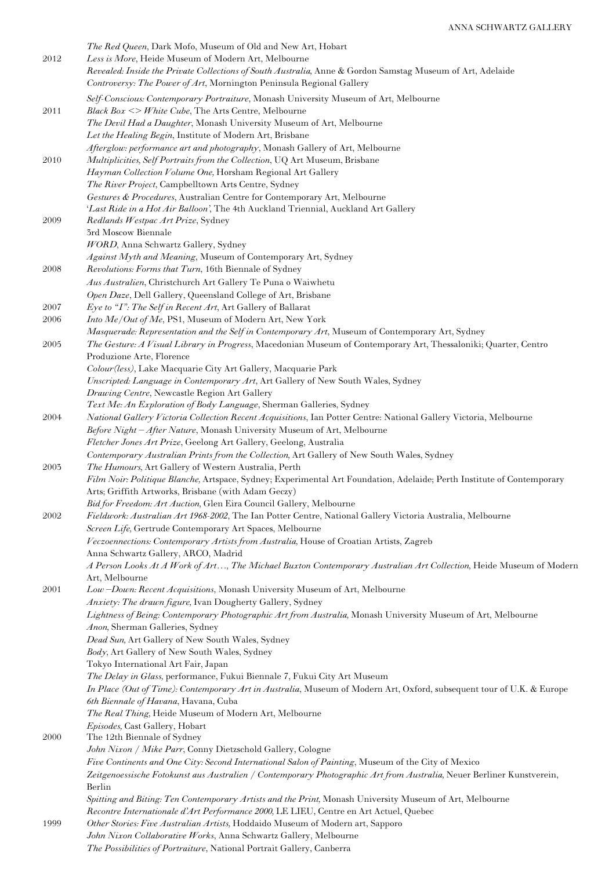|      | The Red Queen, Dark Mofo, Museum of Old and New Art, Hobart                                                                                                                                |
|------|--------------------------------------------------------------------------------------------------------------------------------------------------------------------------------------------|
| 2012 | Less is More, Heide Museum of Modern Art, Melbourne                                                                                                                                        |
|      | Revealed: Inside the Private Collections of South Australia, Anne & Gordon Samstag Museum of Art, Adelaide                                                                                 |
|      | Controversy: The Power of Art, Mornington Peninsula Regional Gallery                                                                                                                       |
|      | Self-Conscious: Contemporary Portraiture, Monash University Museum of Art, Melbourne                                                                                                       |
| 2011 | Black $Box \leq W$ hite Cube, The Arts Centre, Melbourne                                                                                                                                   |
|      | The Devil Had a Daughter, Monash University Museum of Art, Melbourne                                                                                                                       |
|      | Let the Healing Begin, Institute of Modern Art, Brisbane<br>Afterglow: performance art and photography, Monash Gallery of Art, Melbourne                                                   |
| 2010 | Multiplicities, Self Portraits from the Collection, UQ Art Museum, Brisbane                                                                                                                |
|      | Hayman Collection Volume One, Horsham Regional Art Gallery                                                                                                                                 |
|      | The River Project, Campbelltown Arts Centre, Sydney                                                                                                                                        |
|      | Gestures & Procedures, Australian Centre for Contemporary Art, Melbourne                                                                                                                   |
|      | 'Last Ride in a Hot Air Balloon', The 4th Auckland Triennial, Auckland Art Gallery                                                                                                         |
| 2009 | Redlands Westpac Art Prize, Sydney                                                                                                                                                         |
|      | 3rd Moscow Biennale                                                                                                                                                                        |
|      | WORD, Anna Schwartz Gallery, Sydney                                                                                                                                                        |
| 2008 | Against Myth and Meaning, Museum of Contemporary Art, Sydney<br>Revolutions: Forms that Turn, 16th Biennale of Sydney                                                                      |
|      | Aus Australien, Christchurch Art Gallery Te Puna o Waiwhetu                                                                                                                                |
|      | Open Daze, Dell Gallery, Queensland College of Art, Brisbane                                                                                                                               |
| 2007 | Eye to "I": The Self in Recent Art, Art Gallery of Ballarat                                                                                                                                |
| 2006 | Into Me/Out of Me, PS1, Museum of Modern Art, New York                                                                                                                                     |
|      | Masquerade: Representation and the Self in Contemporary Art, Museum of Contemporary Art, Sydney                                                                                            |
| 2005 | The Gesture: A Visual Library in Progress, Macedonian Museum of Contemporary Art, Thessaloniki; Quarter, Centro                                                                            |
|      | Produzione Arte, Florence                                                                                                                                                                  |
|      | Colour(less), Lake Macquarie City Art Gallery, Macquarie Park                                                                                                                              |
|      | Unscripted: Language in Contemporary Art, Art Gallery of New South Wales, Sydney                                                                                                           |
|      | Drawing Centre, Newcastle Region Art Gallery                                                                                                                                               |
|      | Text Me: An Exploration of Body Language, Sherman Galleries, Sydney                                                                                                                        |
| 2004 | National Gallery Victoria Collection Recent Acquisitions, Ian Potter Centre: National Gallery Victoria, Melbourne<br>Before Night-After Nature, Monash University Museum of Art, Melbourne |
|      | Fletcher Jones Art Prize, Geelong Art Gallery, Geelong, Australia                                                                                                                          |
|      | Contemporary Australian Prints from the Collection, Art Gallery of New South Wales, Sydney                                                                                                 |
| 2003 | The Humours, Art Gallery of Western Australia, Perth                                                                                                                                       |
|      | Film Noir: Politique Blanche, Artspace, Sydney; Experimental Art Foundation, Adelaide; Perth Institute of Contemporary                                                                     |
|      | Arts; Griffith Artworks, Brisbane (with Adam Geczy)                                                                                                                                        |
|      | Bid for Freedom: Art Auction, Glen Eira Council Gallery, Melbourne                                                                                                                         |
| 2002 | Fieldwork: Australian Art 1968-2002, The Ian Potter Centre, National Gallery Victoria Australia, Melbourne                                                                                 |
|      | Screen Life, Gertrude Contemporary Art Spaces, Melbourne                                                                                                                                   |
|      | Veczoennections: Contemporary Artists from Australia, House of Croatian Artists, Zagreb                                                                                                    |
|      | Anna Schwartz Gallery, ARCO, Madrid                                                                                                                                                        |
|      | A Person Looks At A Work of Art, The Michael Buxton Contemporary Australian Art Collection, Heide Museum of Modern<br>Art, Melbourne                                                       |
| 2001 | Low-Down: Recent Acquisitions, Monash University Museum of Art, Melbourne                                                                                                                  |
|      | Anxiety: The drawn figure, Ivan Dougherty Gallery, Sydney                                                                                                                                  |
|      | Lightness of Being: Contemporary Photographic Art from Australia, Monash University Museum of Art, Melbourne                                                                               |
|      | Anon, Sherman Galleries, Sydney                                                                                                                                                            |
|      | Dead Sun, Art Gallery of New South Wales, Sydney                                                                                                                                           |
|      | Body, Art Gallery of New South Wales, Sydney                                                                                                                                               |
|      | Tokyo International Art Fair, Japan                                                                                                                                                        |
|      | The Delay in Glass, performance, Fukui Biennale 7, Fukui City Art Museum                                                                                                                   |
|      | In Place (Out of Time): Contemporary Art in Australia, Museum of Modern Art, Oxford, subsequent tour of U.K. & Europe                                                                      |
|      | 6th Biennale of Havana, Havana, Cuba<br>The Real Thing, Heide Museum of Modern Art, Melbourne                                                                                              |
|      | Episodes, Cast Gallery, Hobart                                                                                                                                                             |
| 2000 | The 12th Biennale of Sydney                                                                                                                                                                |
|      | John Nixon / Mike Parr, Conny Dietzschold Gallery, Cologne                                                                                                                                 |
|      | Five Continents and One City: Second International Salon of Painting, Museum of the City of Mexico                                                                                         |
|      | Zeitgenoessische Fotokunst aus Australien / Contemporary Photographic Art from Australia, Neuer Berliner Kunstverein,                                                                      |
|      | Berlin                                                                                                                                                                                     |
|      | Spitting and Biting: Ten Contemporary Artists and the Print, Monash University Museum of Art, Melbourne                                                                                    |
|      | Recontre Internationale d'Art Performance 2000, LE LIEU, Centre en Art Actuel, Quebec                                                                                                      |
| 1999 | Other Stories: Five Australian Artists, Hoddaido Museum of Modern art, Sapporo                                                                                                             |
|      | John Nixon Collaborative Works, Anna Schwartz Gallery, Melbourne                                                                                                                           |

*The Possibilities of Portraiture*, National Portrait Gallery, Canberra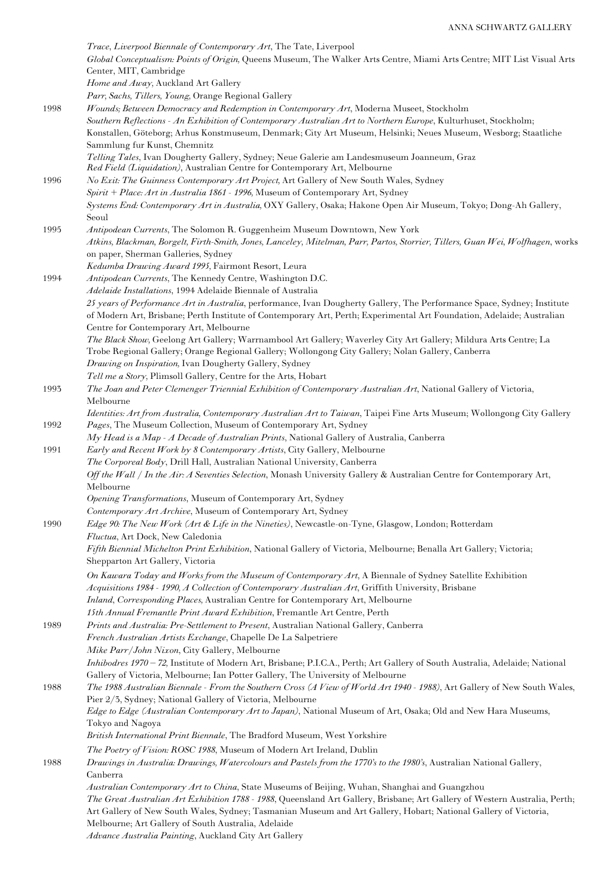*Trace*, *Liverpool Biennale of Contemporary Art*, The Tate, Liverpool *Global Conceptualism: Points of Origin,* Queens Museum, The Walker Arts Centre, Miami Arts Centre; MIT List Visual Arts Center, MIT, Cambridge *Home and Away,* Auckland Art Gallery *Parr, Sachs, Tillers, Young,* Orange Regional Gallery 1998 *Wounds; Between Democracy and Redemption in Contemporary Art*, Moderna Museet, Stockholm *Southern Reflections - An Exhibition of Contemporary Australian Art to Northern Europe*, Kulturhuset, Stockholm; Konstallen, Göteborg; Arhus Konstmuseum, Denmark; City Art Museum, Helsinki; Neues Museum, Wesborg; Staatliche Sammlung fur Kunst, Chemnitz *Telling Tales*, Ivan Dougherty Gallery, Sydney; Neue Galerie am Landesmuseum Joanneum, Graz *Red Field (Liquidation)*, Australian Centre for Contemporary Art, Melbourne 1996 *No Exit: The Guinness Contemporary Art Project,* Art Gallery of New South Wales, Sydney *Spirit + Place: Art in Australia 1861 - 1996,* Museum of Contemporary Art, Sydney *Systems End: Contemporary Art in Australia,* OXY Gallery, Osaka; Hakone Open Air Museum, Tokyo; Dong-Ah Gallery, Seoul 1995 *Antipodean Currents*, The Solomon R. Guggenheim Museum Downtown, New York *Atkins, Blackman, Borgelt, Firth-Smith, Jones, Lanceley, Mitelman, Parr, Partos, Storrier, Tillers, Guan Wei, Wolfhagen*, works on paper, Sherman Galleries, Sydney *Kedumba Drawing Award 1995,* Fairmont Resort, Leura 1994 *Antipodean Currents*, The Kennedy Centre, Washington D.C. *Adelaide Installations*, 1994 Adelaide Biennale of Australia *25 years of Performance Art in Australia*, performance, Ivan Dougherty Gallery, The Performance Space, Sydney; Institute of Modern Art, Brisbane; Perth Institute of Contemporary Art, Perth; Experimental Art Foundation, Adelaide; Australian Centre for Contemporary Art, Melbourne *The Black Show,* Geelong Art Gallery; Warrnambool Art Gallery; Waverley City Art Gallery; Mildura Arts Centre; La Trobe Regional Gallery; Orange Regional Gallery; Wollongong City Gallery; Nolan Gallery, Canberra *Drawing on Inspiration,* Ivan Dougherty Gallery, Sydney *Tell me a Story,* Plimsoll Gallery, Centre for the Arts, Hobart 1993 *The Joan and Peter Clemenger Triennial Exhibition of Contemporary Australian Art*, National Gallery of Victoria, Melbourne *Identities: Art from Australia, Contemporary Australian Art to Taiwan*, Taipei Fine Arts Museum; Wollongong City Gallery 1992 *Pages*, The Museum Collection, Museum of Contemporary Art, Sydney *My Head is a Map - A Decade of Australian Prints*, National Gallery of Australia, Canberra 1991 *Early and Recent Work by 8 Contemporary Artists*, City Gallery, Melbourne *The Corporeal Body*, Drill Hall, Australian National University, Canberra *Off the Wall / In the Air: A Seventies Selection*, Monash University Gallery & Australian Centre for Contemporary Art, Melbourne *Opening Transformations*, Museum of Contemporary Art, Sydney *Contemporary Art Archive*, Museum of Contemporary Art, Sydney 1990 *Edge 90: The New Work (Art & Life in the Nineties)*, Newcastle-on-Tyne, Glasgow, London; Rotterdam *Fluctua*, Art Dock, New Caledonia *Fifth Biennial Michelton Print Exhibition*, National Gallery of Victoria, Melbourne; Benalla Art Gallery; Victoria; Shepparton Art Gallery, Victoria *On Kawara Today and Works from the Museum of Contemporary Art*, A Biennale of Sydney Satellite Exhibition *Acquisitions 1984 - 1990, A Collection of Contemporary Australian Art*, Griffith University, Brisbane *Inland*, *Corresponding Places,* Australian Centre for Contemporary Art, Melbourne *15th Annual Fremantle Print Award Exhibition*, Fremantle Art Centre, Perth 1989 *Prints and Australia: Pre-Settlement to Present*, Australian National Gallery, Canberra *French Australian Artists Exchange*, Chapelle De La Salpetriere *Mike Parr/John Nixon*, City Gallery, Melbourne *Inhibodres 1970 – 72,* Institute of Modern Art, Brisbane; P.I.C.A., Perth; Art Gallery of South Australia, Adelaide; National Gallery of Victoria, Melbourne; Ian Potter Gallery, The University of Melbourne 1988 *The 1988 Australian Biennale - From the Southern Cross (A View of World Art 1940 - 1988)*, Art Gallery of New South Wales, Pier 2/3, Sydney; National Gallery of Victoria, Melbourne *Edge to Edge (Australian Contemporary Art to Japan)*, National Museum of Art, Osaka; Old and New Hara Museums, Tokyo and Nagoya *British International Print Biennale*, The Bradford Museum, West Yorkshire *The Poetry of Vision: ROSC 1988*, Museum of Modern Art Ireland, Dublin 1988 *Drawings in Australia: Drawings, Watercolours and Pastels from the 1770's to the 1980's*, Australian National Gallery, Canberra *Australian Contemporary Art to China*, State Museums of Beijing, Wuhan, Shanghai and Guangzhou *The Great Australian Art Exhibition 1788 - 1988*, Queensland Art Gallery, Brisbane; Art Gallery of Western Australia, Perth; Art Gallery of New South Wales, Sydney; Tasmanian Museum and Art Gallery, Hobart; National Gallery of Victoria, Melbourne; Art Gallery of South Australia, Adelaide *Advance Australia Painting*, Auckland City Art Gallery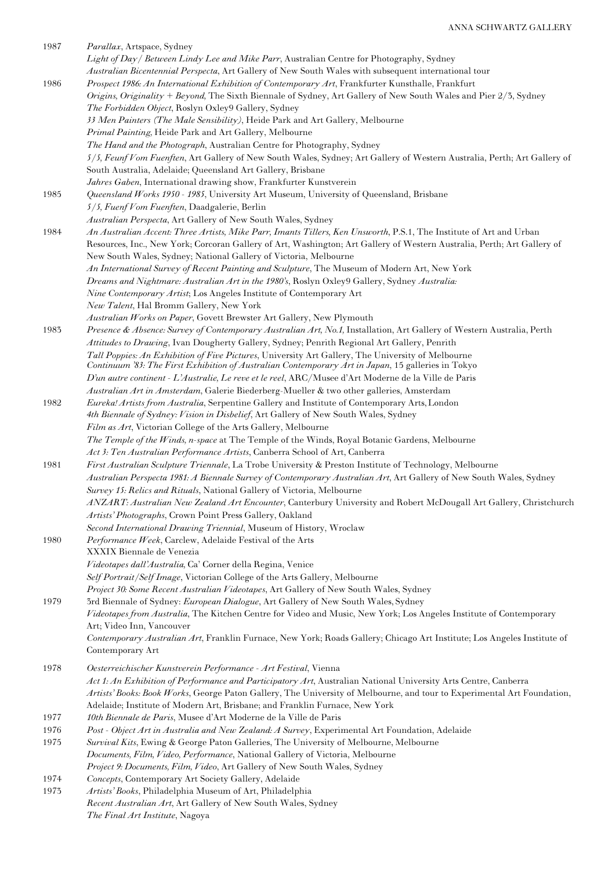| 1987         | Parallax, Artspace, Sydney<br>Light of Day / Between Lindy Lee and Mike Parr, Australian Centre for Photography, Sydney                                                                                   |
|--------------|-----------------------------------------------------------------------------------------------------------------------------------------------------------------------------------------------------------|
| 1986         | Australian Bicentennial Perspecta, Art Gallery of New South Wales with subsequent international tour<br>Prospect 1986: An International Exhibition of Contemporary Art, Frankfurter Kunsthalle, Frankfurt |
|              | Origins, Originality + Beyond, The Sixth Biennale of Sydney, Art Gallery of New South Wales and Pier 2/3, Sydney<br>The Forbidden Object, Roslyn Oxley9 Gallery, Sydney                                   |
|              | 33 Men Painters (The Male Sensibility), Heide Park and Art Gallery, Melbourne                                                                                                                             |
|              | Primal Painting, Heide Park and Art Gallery, Melbourne                                                                                                                                                    |
|              | The Hand and the Photograph, Australian Centre for Photography, Sydney                                                                                                                                    |
|              | 5/5, Feunf Vom Fuenften, Art Gallery of New South Wales, Sydney; Art Gallery of Western Australia, Perth; Art Gallery of<br>South Australia, Adelaide; Queensland Art Gallery, Brisbane                   |
|              | Jahres Gaben, International drawing show, Frankfurter Kunstverein                                                                                                                                         |
| 1985         | Queensland Works 1950 - 1985, University Art Museum, University of Queensland, Brisbane                                                                                                                   |
|              | 5/5, Fuenf Vom Fuenften, Daadgalerie, Berlin                                                                                                                                                              |
|              | Australian Perspecta, Art Gallery of New South Wales, Sydney                                                                                                                                              |
| 1984         | An Australian Accent: Three Artists, Mike Parr, Imants Tillers, Ken Unsworth, P.S.1, The Institute of Art and Urban                                                                                       |
|              | Resources, Inc., New York; Corcoran Gallery of Art, Washington; Art Gallery of Western Australia, Perth; Art Gallery of<br>New South Wales, Sydney; National Gallery of Victoria, Melbourne               |
|              | An International Survey of Recent Painting and Sculpture, The Museum of Modern Art, New York                                                                                                              |
|              | Dreams and Nightmare: Australian Art in the 1980's, Roslyn Oxley9 Gallery, Sydney Australia:                                                                                                              |
|              | Nine Contemporary Artist; Los Angeles Institute of Contemporary Art                                                                                                                                       |
|              | New Talent, Hal Bromm Gallery, New York<br>Australian Works on Paper, Govett Brewster Art Gallery, New Plymouth                                                                                           |
| 1983         | Presence & Absence: Survey of Contemporary Australian Art, No.1, Installation, Art Gallery of Western Australia, Perth                                                                                    |
|              | Attitudes to Drawing, Ivan Dougherty Gallery, Sydney; Penrith Regional Art Gallery, Penrith                                                                                                               |
|              | Tall Poppies: An Exhibition of Five Pictures, University Art Gallery, The University of Melbourne<br>Continuum '83: The First Exhibition of Australian Contemporary Art in Japan, 15 galleries in Tokyo   |
|              | D'un autre continent - L'Australie, Le reve et le reel, ARC/Musee d'Art Moderne de la Ville de Paris                                                                                                      |
|              | Australian Art in Amsterdam, Galerie Biederberg-Mueller & two other galleries, Amsterdam                                                                                                                  |
| 1982         | Eureka! Artists from Australia, Serpentine Gallery and Institute of Contemporary Arts, London<br>4th Biennale of Sydney: Vision in Disbelief, Art Gallery of New South Wales, Sydney                      |
|              | Film as Art, Victorian College of the Arts Gallery, Melbourne                                                                                                                                             |
|              | The Temple of the Winds, n-space at The Temple of the Winds, Royal Botanic Gardens, Melbourne                                                                                                             |
|              | Act 3: Ten Australian Performance Artists, Canberra School of Art, Canberra                                                                                                                               |
| 1981         | First Australian Sculpture Triennale, La Trobe University & Preston Institute of Technology, Melbourne                                                                                                    |
|              | Australian Perspecta 1981: A Biennale Survey of Contemporary Australian Art, Art Gallery of New South Wales, Sydney<br>Survey 15: Relics and Rituals, National Gallery of Victoria, Melbourne             |
|              | ANZART: Australian New Zealand Art Encounter, Canterbury University and Robert McDougall Art Gallery, Christchurch                                                                                        |
|              | Artists' Photographs, Crown Point Press Gallery, Oakland                                                                                                                                                  |
|              | Second International Drawing Triennial, Museum of History, Wroclaw                                                                                                                                        |
| 1980         | Performance Week, Carclew, Adelaide Festival of the Arts                                                                                                                                                  |
|              | XXXIX Biennale de Venezia<br>Videotapes dall'Australia, Ca' Corner della Regina, Venice                                                                                                                   |
|              | Self Portrait/Self Image, Victorian College of the Arts Gallery, Melbourne                                                                                                                                |
|              | Project 30: Some Recent Australian Videotapes, Art Gallery of New South Wales, Sydney                                                                                                                     |
| 1979         | 3rd Biennale of Sydney: European Dialogue, Art Gallery of New South Wales, Sydney                                                                                                                         |
|              | Videotapes from Australia, The Kitchen Centre for Video and Music, New York; Los Angeles Institute of Contemporary                                                                                        |
|              | Art; Video Inn, Vancouver<br>Contemporary Australian Art, Franklin Furnace, New York; Roads Gallery; Chicago Art Institute; Los Angeles Institute of                                                      |
|              | Contemporary Art                                                                                                                                                                                          |
| 1978         | Oesterreichischer Kunstverein Performance - Art Festival, Vienna                                                                                                                                          |
|              | Act 1: An Exhibition of Performance and Participatory Art, Australian National University Arts Centre, Canberra                                                                                           |
|              | Artists' Books: Book Works, George Paton Gallery, The University of Melbourne, and tour to Experimental Art Foundation,                                                                                   |
|              | Adelaide; Institute of Modern Art, Brisbane; and Franklin Furnace, New York                                                                                                                               |
| 1977<br>1976 | 10th Biennale de Paris, Musee d'Art Moderne de la Ville de Paris<br>Post - Object Art in Australia and New Zealand: A Survey, Experimental Art Foundation, Adelaide                                       |
| 1975         | Survival Kits, Ewing & George Paton Galleries, The University of Melbourne, Melbourne                                                                                                                     |
|              | Documents, Film, Video, Performance, National Gallery of Victoria, Melbourne                                                                                                                              |
|              | Project 9: Documents, Film, Video, Art Gallery of New South Wales, Sydney                                                                                                                                 |
| 1974         | Concepts, Contemporary Art Society Gallery, Adelaide                                                                                                                                                      |
| 1973         | Artists' Books, Philadelphia Museum of Art, Philadelphia<br>Recent Australian Art, Art Gallery of New South Wales, Sydney                                                                                 |
|              | The Final Art Institute, Nagoya                                                                                                                                                                           |
|              |                                                                                                                                                                                                           |